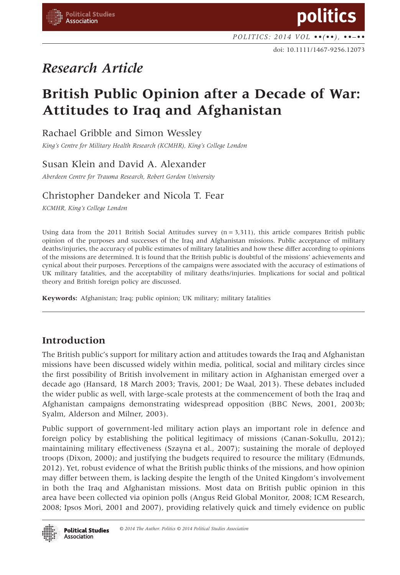

*POLITICS: 2014 VOL* ••(••),

# *Research Article*

# **British Public Opinion after a Decade of War: Attitudes to Iraq and Afghanistan**

# Rachael Gribble and Simon Wessley

*King's Centre for Military Health Research (KCMHR), King's College London*

# Susan Klein and David A. Alexander

*Aberdeen Centre for Trauma Research, Robert Gordon University*

# Christopher Dandeker and Nicola T. Fear

*KCMHR, King's College London*

Using data from the 2011 British Social Attitudes survey  $(n = 3,311)$ , this article compares British public opinion of the purposes and successes of the Iraq and Afghanistan missions. Public acceptance of military deaths/injuries, the accuracy of public estimates of military fatalities and how these differ according to opinions of the missions are determined. It is found that the British public is doubtful of the missions' achievements and cynical about their purposes. Perceptions of the campaigns were associated with the accuracy of estimations of UK military fatalities, and the acceptability of military deaths/injuries. Implications for social and political theory and British foreign policy are discussed.

**Keywords:** Afghanistan; Iraq; public opinion; UK military; military fatalities

# **Introduction**

The British public's support for military action and attitudes towards the Iraq and Afghanistan missions have been discussed widely within media, political, social and military circles since the first possibility of British involvement in military action in Afghanistan emerged over a decade ago (Hansard, 18 March 2003; Travis, 2001; De Waal, 2013). These debates included the wider public as well, with large-scale protests at the commencement of both the Iraq and Afghanistan campaigns demonstrating widespread opposition (BBC News, 2001, 2003b; Syalm, Alderson and Milner, 2003).

Public support of government-led military action plays an important role in defence and foreign policy by establishing the political legitimacy of missions (Canan-Sokullu, 2012); maintaining military effectiveness (Szayna et al., 2007); sustaining the morale of deployed troops (Dixon, 2000); and justifying the budgets required to resource the military (Edmunds, 2012). Yet, robust evidence of what the British public thinks of the missions, and how opinion may differ between them, is lacking despite the length of the United Kingdom's involvement in both the Iraq and Afghanistan missions. Most data on British public opinion in this area have been collected via opinion polls (Angus Reid Global Monitor, 2008; ICM Research, 2008; Ipsos Mori, 2001 and 2007), providing relatively quick and timely evidence on public

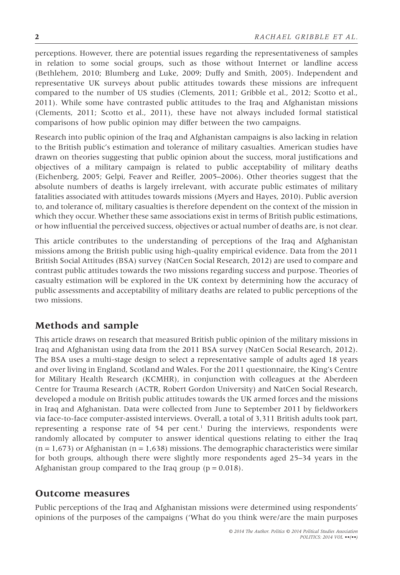perceptions. However, there are potential issues regarding the representativeness of samples in relation to some social groups, such as those without Internet or landline access (Bethlehem, 2010; Blumberg and Luke, 2009; Duffy and Smith, 2005). Independent and representative UK surveys about public attitudes towards these missions are infrequent compared to the number of US studies (Clements, 2011; Gribble et al., 2012; Scotto et al., 2011). While some have contrasted public attitudes to the Iraq and Afghanistan missions (Clements, 2011; Scotto et al., 2011), these have not always included formal statistical comparisons of how public opinion may differ between the two campaigns.

Research into public opinion of the Iraq and Afghanistan campaigns is also lacking in relation to the British public's estimation and tolerance of military casualties. American studies have drawn on theories suggesting that public opinion about the success, moral justifications and objectives of a military campaign is related to public acceptability of military deaths (Eichenberg, 2005; Gelpi, Feaver and Reifler, 2005–2006). Other theories suggest that the absolute numbers of deaths is largely irrelevant, with accurate public estimates of military fatalities associated with attitudes towards missions (Myers and Hayes, 2010). Public aversion to, and tolerance of, military casualties is therefore dependent on the context of the mission in which they occur. Whether these same associations exist in terms of British public estimations, or how influential the perceived success, objectives or actual number of deaths are, is not clear.

This article contributes to the understanding of perceptions of the Iraq and Afghanistan missions among the British public using high-quality empirical evidence. Data from the 2011 British Social Attitudes (BSA) survey (NatCen Social Research, 2012) are used to compare and contrast public attitudes towards the two missions regarding success and purpose. Theories of casualty estimation will be explored in the UK context by determining how the accuracy of public assessments and acceptability of military deaths are related to public perceptions of the two missions.

# **Methods and sample**

This article draws on research that measured British public opinion of the military missions in Iraq and Afghanistan using data from the 2011 BSA survey (NatCen Social Research, 2012). The BSA uses a multi-stage design to select a representative sample of adults aged 18 years and over living in England, Scotland and Wales. For the 2011 questionnaire, the King's Centre for Military Health Research (KCMHR), in conjunction with colleagues at the Aberdeen Centre for Trauma Research (ACTR, Robert Gordon University) and NatCen Social Research, developed a module on British public attitudes towards the UK armed forces and the missions in Iraq and Afghanistan. Data were collected from June to September 2011 by fieldworkers via face-to-face computer-assisted interviews. Overall, a total of 3,311 British adults took part, representing a response rate of  $54$  per cent.<sup>1</sup> During the interviews, respondents were randomly allocated by computer to answer identical questions relating to either the Iraq  $(n = 1,673)$  or Afghanistan  $(n = 1,638)$  missions. The demographic characteristics were similar for both groups, although there were slightly more respondents aged 25–34 years in the Afghanistan group compared to the Iraq group ( $p = 0.018$ ).

## **Outcome measures**

Public perceptions of the Iraq and Afghanistan missions were determined using respondents' opinions of the purposes of the campaigns ('What do you think were/are the main purposes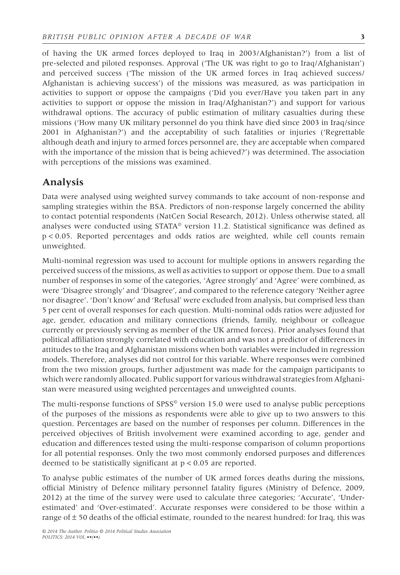of having the UK armed forces deployed to Iraq in 2003/Afghanistan?') from a list of pre-selected and piloted responses. Approval ('The UK was right to go to Iraq/Afghanistan') and perceived success ('The mission of the UK armed forces in Iraq achieved success/ Afghanistan is achieving success') of the missions was measured, as was participation in activities to support or oppose the campaigns ('Did you ever/Have you taken part in any activities to support or oppose the mission in Iraq/Afghanistan?') and support for various withdrawal options. The accuracy of public estimation of military casualties during these missions ('How many UK military personnel do you think have died since 2003 in Iraq/since 2001 in Afghanistan?') and the acceptability of such fatalities or injuries ('Regrettable although death and injury to armed forces personnel are, they are acceptable when compared with the importance of the mission that is being achieved?') was determined. The association with perceptions of the missions was examined.

## **Analysis**

Data were analysed using weighted survey commands to take account of non-response and sampling strategies within the BSA. Predictors of non-response largely concerned the ability to contact potential respondents (NatCen Social Research, 2012). Unless otherwise stated, all analyses were conducted using STATA<sup>®</sup> version 11.2. Statistical significance was defined as p < 0.05. Reported percentages and odds ratios are weighted, while cell counts remain unweighted.

Multi-nominal regression was used to account for multiple options in answers regarding the perceived success of the missions, as well as activities to support or oppose them. Due to a small number of responses in some of the categories, 'Agree strongly' and 'Agree' were combined, as were 'Disagree strongly' and 'Disagree', and compared to the reference category 'Neither agree nor disagree'. 'Don't know' and 'Refusal' were excluded from analysis, but comprised less than 5 per cent of overall responses for each question. Multi-nominal odds ratios were adjusted for age, gender, education and military connections (friends, family, neighbour or colleague currently or previously serving as member of the UK armed forces). Prior analyses found that political affiliation strongly correlated with education and was not a predictor of differences in attitudes to the Iraq and Afghanistan missions when both variables were included in regression models. Therefore, analyses did not control for this variable. Where responses were combined from the two mission groups, further adjustment was made for the campaign participants to which were randomly allocated. Public support for various withdrawal strategies from Afghanistan were measured using weighted percentages and unweighted counts.

The multi-response functions of  $SPSS^{\circ}$  version 15.0 were used to analyse public perceptions of the purposes of the missions as respondents were able to give up to two answers to this question. Percentages are based on the number of responses per column. Differences in the perceived objectives of British involvement were examined according to age, gender and education and differences tested using the multi-response comparison of column proportions for all potential responses. Only the two most commonly endorsed purposes and differences deemed to be statistically significant at p < 0.05 are reported.

To analyse public estimates of the number of UK armed forces deaths during the missions, official Ministry of Defence military personnel fatality figures (Ministry of Defence, 2009, 2012) at the time of the survey were used to calculate three categories; 'Accurate', 'Underestimated' and 'Over-estimated'. Accurate responses were considered to be those within a range of  $\pm$  50 deaths of the official estimate, rounded to the nearest hundred: for Iraq, this was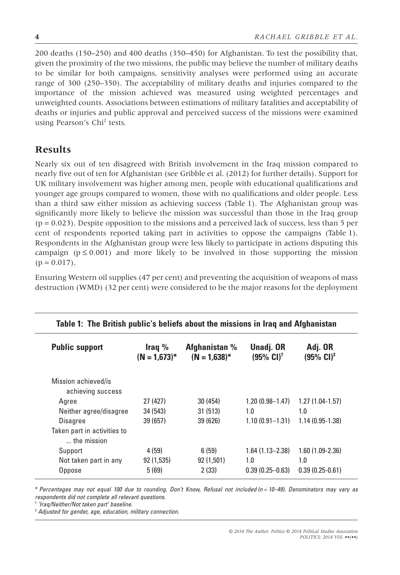200 deaths (150–250) and 400 deaths (350–450) for Afghanistan. To test the possibility that, given the proximity of the two missions, the public may believe the number of military deaths to be similar for both campaigns, sensitivity analyses were performed using an accurate range of 300 (250–350). The acceptability of military deaths and injuries compared to the importance of the mission achieved was measured using weighted percentages and unweighted counts. Associations between estimations of military fatalities and acceptability of deaths or injuries and public approval and perceived success of the missions were examined using Pearson's Chi2 tests.

# **Results**

Nearly six out of ten disagreed with British involvement in the Iraq mission compared to nearly five out of ten for Afghanistan (see Gribble et al. (2012) for further details). Support for UK military involvement was higher among men, people with educational qualifications and younger age groups compared to women, those with no qualifications and older people. Less than a third saw either mission as achieving success (Table 1). The Afghanistan group was significantly more likely to believe the mission was successful than those in the Iraq group  $(p = 0.023)$ . Despite opposition to the missions and a perceived lack of success, less than 5 per cent of respondents reported taking part in activities to oppose the campaigns (Table 1). Respondents in the Afghanistan group were less likely to participate in actions disputing this campaign ( $p \le 0.001$ ) and more likely to be involved in those supporting the mission  $(p = 0.017)$ .

Ensuring Western oil supplies (47 per cent) and preventing the acquisition of weapons of mass destruction (WMD) (32 per cent) were considered to be the major reasons for the deployment

| Table 1: The British public's beliefs about the missions in Iraq and Afghanistan |                             |                                  |                                            |                                  |
|----------------------------------------------------------------------------------|-----------------------------|----------------------------------|--------------------------------------------|----------------------------------|
| <b>Public support</b>                                                            | Iraq $%$<br>$(N = 1.673)^*$ | Afghanistan %<br>$(N = 1,638)^*$ | Unadj. OR<br>$(95\% \text{ Cl})^{\dagger}$ | Adj. OR<br>$(95% Cl)^{\ddagger}$ |
| Mission achieved/is<br>achieving success                                         |                             |                                  |                                            |                                  |
| Agree                                                                            | 27 (427)                    | 30(454)                          | $1.20(0.98 - 1.47)$                        | $1.27(1.04-1.57)$                |
| Neither agree/disagree                                                           | 34 (543)                    | 31(513)                          | 1.0                                        | 1.0                              |
| <b>Disagree</b>                                                                  | 39 (657)                    | 39 (626)                         | $1.10(0.91 - 1.31)$                        | $1.14(0.95-1.38)$                |
| Taken part in activities to<br>the mission                                       |                             |                                  |                                            |                                  |
| Support                                                                          | 4 (59)                      | 6(59)                            | $1.64(1.13 - 2.38)$                        | $1.60(1.09-2.36)$                |
| Not taken part in any                                                            | 92 (1,535)                  | 92(1,501)                        | 1.0                                        | 1.0                              |
| Oppose                                                                           | 5(69)                       | 2(33)                            | $0.39(0.25 - 0.63)$                        | $0.39(0.25-0.61)$                |

\* *Percentages may not equal 100 due to rounding. Don't Know, Refusal not included (n* = *10–49). Denominators may vary as respondents did not complete all relevant questions.*

† *'Iraq/Neither/Not taken part' baseline.*

‡ *Adjusted for gender, age, education, military connection.*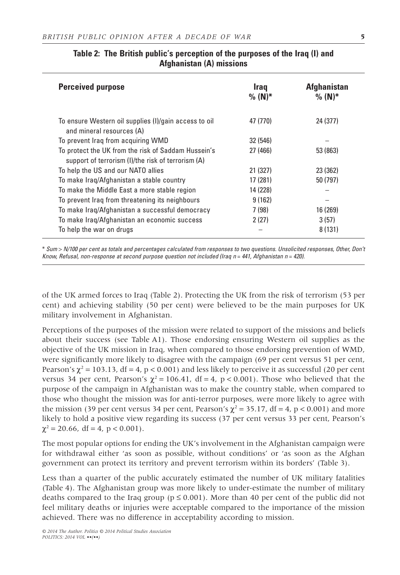| <b>Perceived purpose</b>                                                                                  | <b>Iraq</b><br>$% (N)*$ | <b>Afghanistan</b><br>$% (N)*$ |
|-----------------------------------------------------------------------------------------------------------|-------------------------|--------------------------------|
| To ensure Western oil supplies (I)/gain access to oil<br>and mineral resources (A)                        | 47 (770)                | 24 (377)                       |
| To prevent Iraq from acquiring WMD                                                                        | 32 (546)                |                                |
| To protect the UK from the risk of Saddam Hussein's<br>support of terrorism (I)/the risk of terrorism (A) | 27 (466)                | 53 (863)                       |
| To help the US and our NATO allies                                                                        | 21 (327)                | 23 (362)                       |
| To make Irag/Afghanistan a stable country                                                                 | 17 (281)                | 50 (797)                       |
| To make the Middle East a more stable region                                                              | 14 (228)                |                                |
| To prevent Irag from threatening its neighbours                                                           | 9(162)                  |                                |
| To make Iraq/Afghanistan a successful democracy                                                           | 7(98)                   | 16 (269)                       |
| To make Iraq/Afghanistan an economic success                                                              | 2(27)                   | 3(57)                          |
| To help the war on drugs                                                                                  |                         | 8(131)                         |

#### **Table 2: The British public's perception of the purposes of the Iraq (I) and Afghanistan (A) missions**

\* *Sum* > *N/100 per cent as totals and percentages calculated from responses to two questions. Unsolicited responses, Other, Don't Know, Refusal, non-response at second purpose question not included (Iraq n* = *441, Afghanistan n* = *420).*

of the UK armed forces to Iraq (Table 2). Protecting the UK from the risk of terrorism (53 per cent) and achieving stability (50 per cent) were believed to be the main purposes for UK military involvement in Afghanistan.

Perceptions of the purposes of the mission were related to support of the missions and beliefs about their success (see Table A1). Those endorsing ensuring Western oil supplies as the objective of the UK mission in Iraq, when compared to those endorsing prevention of WMD, were significantly more likely to disagree with the campaign (69 per cent versus 51 per cent, Pearson's  $\chi^2$  = 103.13, df = 4, p < 0.001) and less likely to perceive it as successful (20 per cent versus 34 per cent, Pearson's  $\chi^2 = 106.41$ , df = 4, p < 0.001). Those who believed that the purpose of the campaign in Afghanistan was to make the country stable, when compared to those who thought the mission was for anti-terror purposes, were more likely to agree with the mission (39 per cent versus 34 per cent, Pearson's  $\chi^2 = 35.17$ , df = 4, p < 0.001) and more likely to hold a positive view regarding its success (37 per cent versus 33 per cent, Pearson's  $\chi^2 = 20.66$ , df = 4, p < 0.001).

The most popular options for ending the UK's involvement in the Afghanistan campaign were for withdrawal either 'as soon as possible, without conditions' or 'as soon as the Afghan government can protect its territory and prevent terrorism within its borders' (Table 3).

Less than a quarter of the public accurately estimated the number of UK military fatalities (Table 4). The Afghanistan group was more likely to under-estimate the number of military deaths compared to the Iraq group ( $p \le 0.001$ ). More than 40 per cent of the public did not feel military deaths or injuries were acceptable compared to the importance of the mission achieved. There was no difference in acceptability according to mission.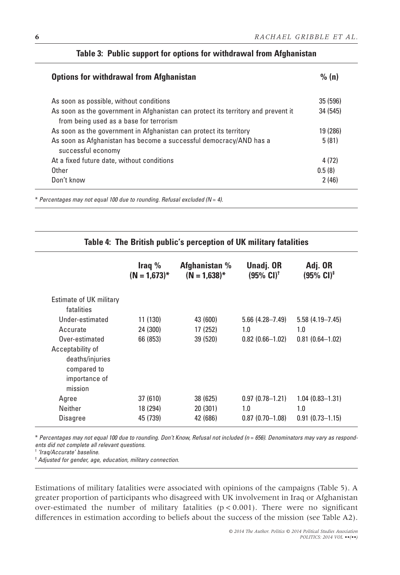| <b>Options for withdrawal from Afghanistan</b>                                                                               | % (n)    |
|------------------------------------------------------------------------------------------------------------------------------|----------|
| As soon as possible, without conditions                                                                                      | 35 (596) |
| As soon as the government in Afghanistan can protect its territory and prevent it<br>from being used as a base for terrorism | 34 (545) |
| As soon as the government in Afghanistan can protect its territory                                                           | 19 (286) |
| As soon as Afghanistan has become a successful democracy/AND has a<br>successful economy                                     | 5(81)    |
| At a fixed future date, without conditions                                                                                   | 4(72)    |
| Other                                                                                                                        | 0.5(8)   |
| Don't know                                                                                                                   | 2(46)    |

#### **Table 3: Public support for options for withdrawal from Afghanistan**

\* *Percentages may not equal 100 due to rounding. Refusal excluded (N* = *4).*

## **Table 4: The British public's perception of UK military fatalities**

|                                                                                | Iraq %<br>$(N = 1.673)^*$ | Afghanistan %<br>$(N = 1.638)^*$ | Unadj. OR<br>$(95\% \text{ Cl})^{\dagger}$ | Adj. OR<br>$(95\% \text{ Cl})^{\ddagger}$ |
|--------------------------------------------------------------------------------|---------------------------|----------------------------------|--------------------------------------------|-------------------------------------------|
| Estimate of UK military<br>fatalities                                          |                           |                                  |                                            |                                           |
| Under-estimated                                                                | 11 (130)                  | 43 (600)                         | $5.66(4.28 - 7.49)$                        | $5.58(4.19 - 7.45)$                       |
| Accurate                                                                       | 24 (300)                  | 17 (252)                         | 1.0                                        | 1.0                                       |
| Over-estimated                                                                 | 66 (853)                  | 39 (520)                         | $0.82$ (0.66-1.02)                         | $0.81(0.64 - 1.02)$                       |
| Acceptability of<br>deaths/injuries<br>compared to<br>importance of<br>mission |                           |                                  |                                            |                                           |
| Agree                                                                          | 37 (610)                  | 38 (625)                         | $0.97(0.78 - 1.21)$                        | $1.04(0.83 - 1.31)$                       |
| Neither                                                                        | 18 (294)                  | 20 (301)                         | 1.0                                        | 1.0                                       |
| <b>Disagree</b>                                                                | 45 (739)                  | 42 (686)                         | $0.87(0.70 - 1.08)$                        | $0.91(0.73 - 1.15)$                       |

\* *Percentages may not equal 100 due to rounding. Don't Know, Refusal not included (n* = *656). Denominators may vary as respondents did not complete all relevant questions.*

† *'Iraq/Accurate' baseline.*

‡ *Adjusted for gender, age, education, military connection.*

Estimations of military fatalities were associated with opinions of the campaigns (Table 5). A greater proportion of participants who disagreed with UK involvement in Iraq or Afghanistan over-estimated the number of military fatalities  $(p < 0.001)$ . There were no significant differences in estimation according to beliefs about the success of the mission (see Table A2).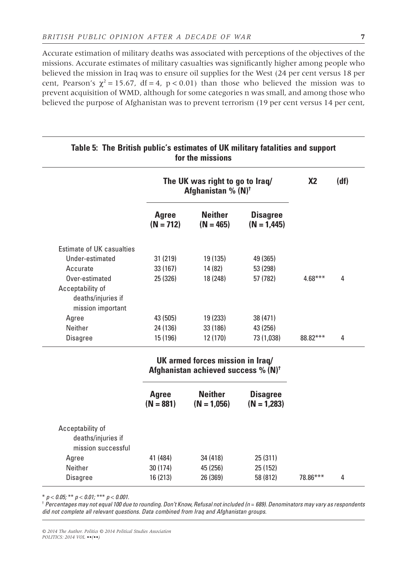Accurate estimation of military deaths was associated with perceptions of the objectives of the missions. Accurate estimates of military casualties was significantly higher among people who believed the mission in Iraq was to ensure oil supplies for the West (24 per cent versus 18 per cent, Pearson's  $\chi^2 = 15.67$ , df = 4, p < 0.01) than those who believed the mission was to prevent acquisition of WMD, although for some categories n was small, and among those who believed the purpose of Afghanistan was to prevent terrorism (19 per cent versus 14 per cent,

#### **Table 5: The British public's estimates of UK military fatalities and support for the missions The UK was right to go to Iraq/ Afghanistan % (N)† X2 (df) Agree (N = 712) Neither (N = 465) Disagree (N = 1,445)** Estimate of UK casualties Under-estimated 31 (219) 19 (135) 49 (365) Accurate 33 (167) 14 (82) 53 (298) Over-estimated 25 (326) 18 (248) 57 (782) 4.68\*\*\* 4 Acceptability of deaths/injuries if mission important Agree 43 (505) 19 (233) 38 (471) Neither 24 (136) 33 (186) 43 (256) Disagree 15 (196) 12 (170) 73 (1,038) 88.82\*\*\* 4

**UK armed forces mission in Iraq/ Afghanistan achieved success % (N)†**

|                                                              | Agree<br>$(N = 881)$ | <b>Neither</b><br>$(N = 1,056)$ | <b>Disagree</b><br>$(N = 1,283)$ |          |   |
|--------------------------------------------------------------|----------------------|---------------------------------|----------------------------------|----------|---|
| Acceptability of<br>deaths/injuries if<br>mission successful |                      |                                 |                                  |          |   |
| Agree                                                        | 41 (484)             | 34 (418)                        | 25 (311)                         |          |   |
| Neither                                                      | 30 (174)             | 45 (256)                        | 25 (152)                         |          |   |
| <b>Disagree</b>                                              | 16 (213)             | 26 (369)                        | 58 (812)                         | 78.86*** | 4 |

\* *p* < *0.05;* \*\* *p* < *0.01;* \*\*\* *p* < *0.001.*

† *Percentages may not equal 100 due to rounding. Don't Know, Refusal not included (n* = *689). Denominators may vary as respondents did not complete all relevant questions. Data combined from Iraq and Afghanistan groups.*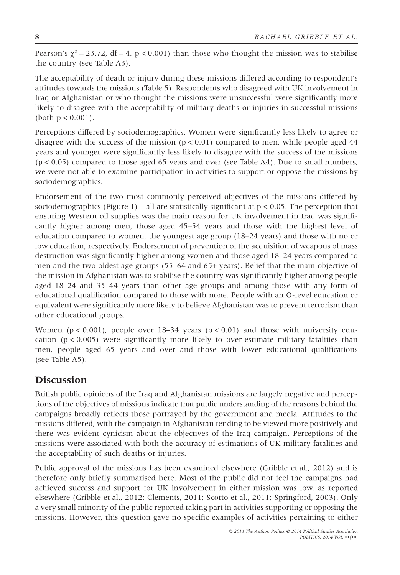Pearson's  $\chi^2$  = 23.72, df = 4, p < 0.001) than those who thought the mission was to stabilise the country (see Table A3).

The acceptability of death or injury during these missions differed according to respondent's attitudes towards the missions (Table 5). Respondents who disagreed with UK involvement in Iraq or Afghanistan or who thought the missions were unsuccessful were significantly more likely to disagree with the acceptability of military deaths or injuries in successful missions (both  $p < 0.001$ ).

Perceptions differed by sociodemographics. Women were significantly less likely to agree or disagree with the success of the mission  $(p < 0.01)$  compared to men, while people aged 44 years and younger were significantly less likely to disagree with the success of the missions (p < 0.05) compared to those aged 65 years and over (see Table A4). Due to small numbers, we were not able to examine participation in activities to support or oppose the missions by sociodemographics.

Endorsement of the two most commonly perceived objectives of the missions differed by sociodemographics (Figure 1) – all are statistically significant at  $p < 0.05$ . The perception that ensuring Western oil supplies was the main reason for UK involvement in Iraq was significantly higher among men, those aged 45–54 years and those with the highest level of education compared to women, the youngest age group (18–24 years) and those with no or low education, respectively. Endorsement of prevention of the acquisition of weapons of mass destruction was significantly higher among women and those aged 18–24 years compared to men and the two oldest age groups (55–64 and 65+ years). Belief that the main objective of the mission in Afghanistan was to stabilise the country was significantly higher among people aged 18–24 and 35–44 years than other age groups and among those with any form of educational qualification compared to those with none. People with an O-level education or equivalent were significantly more likely to believe Afghanistan was to prevent terrorism than other educational groups.

Women ( $p < 0.001$ ), people over 18–34 years ( $p < 0.01$ ) and those with university education ( $p < 0.005$ ) were significantly more likely to over-estimate military fatalities than men, people aged 65 years and over and those with lower educational qualifications (see Table A5).

# **Discussion**

British public opinions of the Iraq and Afghanistan missions are largely negative and perceptions of the objectives of missions indicate that public understanding of the reasons behind the campaigns broadly reflects those portrayed by the government and media. Attitudes to the missions differed, with the campaign in Afghanistan tending to be viewed more positively and there was evident cynicism about the objectives of the Iraq campaign. Perceptions of the missions were associated with both the accuracy of estimations of UK military fatalities and the acceptability of such deaths or injuries.

Public approval of the missions has been examined elsewhere (Gribble et al., 2012) and is therefore only briefly summarised here. Most of the public did not feel the campaigns had achieved success and support for UK involvement in either mission was low, as reported elsewhere (Gribble et al., 2012; Clements, 2011; Scotto et al., 2011; Springford, 2003). Only a very small minority of the public reported taking part in activities supporting or opposing the missions. However, this question gave no specific examples of activities pertaining to either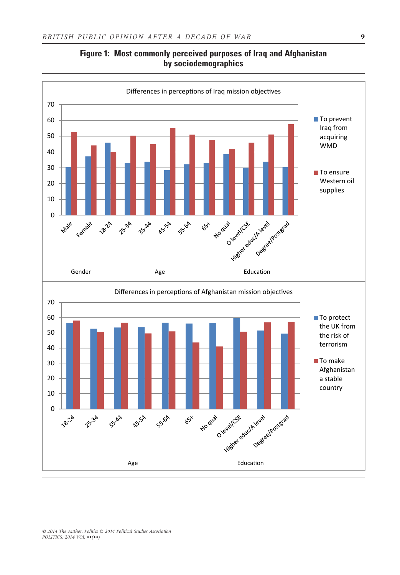

### **Figure 1: Most commonly perceived purposes of Iraq and Afghanistan by sociodemographics**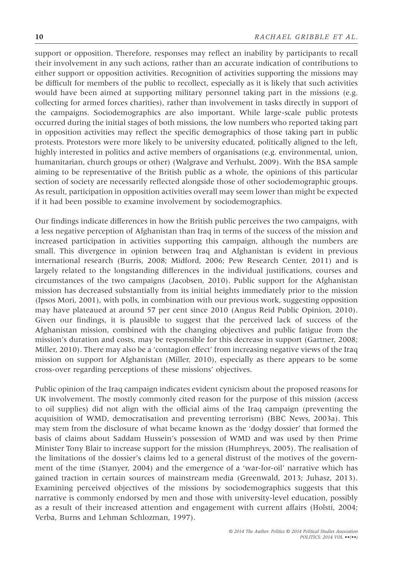support or opposition. Therefore, responses may reflect an inability by participants to recall their involvement in any such actions, rather than an accurate indication of contributions to either support or opposition activities. Recognition of activities supporting the missions may be difficult for members of the public to recollect, especially as it is likely that such activities would have been aimed at supporting military personnel taking part in the missions (e.g. collecting for armed forces charities), rather than involvement in tasks directly in support of the campaigns. Sociodemographics are also important. While large-scale public protests occurred during the initial stages of both missions, the low numbers who reported taking part in opposition activities may reflect the specific demographics of those taking part in public protests. Protestors were more likely to be university educated, politically aligned to the left, highly interested in politics and active members of organisations (e.g. environmental, union, humanitarian, church groups or other) (Walgrave and Verhulst, 2009). With the BSA sample aiming to be representative of the British public as a whole, the opinions of this particular section of society are necessarily reflected alongside those of other sociodemographic groups. As result, participation in opposition activities overall may seem lower than might be expected if it had been possible to examine involvement by sociodemographics.

Our findings indicate differences in how the British public perceives the two campaigns, with a less negative perception of Afghanistan than Iraq in terms of the success of the mission and increased participation in activities supporting this campaign, although the numbers are small. This divergence in opinion between Iraq and Afghanistan is evident in previous international research (Burris, 2008; Midford, 2006; Pew Research Center, 2011) and is largely related to the longstanding differences in the individual justifications, courses and circumstances of the two campaigns (Jacobsen, 2010). Public support for the Afghanistan mission has decreased substantially from its initial heights immediately prior to the mission (Ipsos Mori, 2001), with polls, in combination with our previous work, suggesting opposition may have plateaued at around 57 per cent since 2010 (Angus Reid Public Opinion, 2010). Given our findings, it is plausible to suggest that the perceived lack of success of the Afghanistan mission, combined with the changing objectives and public fatigue from the mission's duration and costs, may be responsible for this decrease in support (Gartner, 2008; Miller, 2010). There may also be a 'contagion effect' from increasing negative views of the Iraq mission on support for Afghanistan (Miller, 2010), especially as there appears to be some cross-over regarding perceptions of these missions' objectives.

Public opinion of the Iraq campaign indicates evident cynicism about the proposed reasons for UK involvement. The mostly commonly cited reason for the purpose of this mission (access to oil supplies) did not align with the official aims of the Iraq campaign (preventing the acquisition of WMD, democratisation and preventing terrorism) (BBC News, 2003a). This may stem from the disclosure of what became known as the 'dodgy dossier' that formed the basis of claims about Saddam Hussein's possession of WMD and was used by then Prime Minister Tony Blair to increase support for the mission (Humphreys, 2005). The realisation of the limitations of the dossier's claims led to a general distrust of the motives of the government of the time (Stanyer, 2004) and the emergence of a 'war-for-oil' narrative which has gained traction in certain sources of mainstream media (Greenwald, 2013; Juhasz, 2013). Examining perceived objectives of the missions by sociodemographics suggests that this narrative is commonly endorsed by men and those with university-level education, possibly as a result of their increased attention and engagement with current affairs (Holsti, 2004; Verba, Burns and Lehman Schlozman, 1997).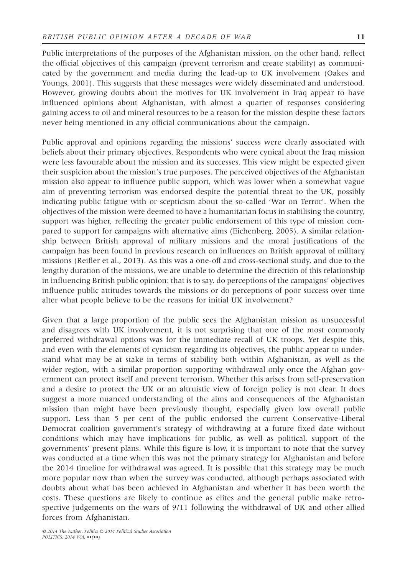Public interpretations of the purposes of the Afghanistan mission, on the other hand, reflect the official objectives of this campaign (prevent terrorism and create stability) as communicated by the government and media during the lead-up to UK involvement (Oakes and Youngs, 2001). This suggests that these messages were widely disseminated and understood. However, growing doubts about the motives for UK involvement in Iraq appear to have influenced opinions about Afghanistan, with almost a quarter of responses considering gaining access to oil and mineral resources to be a reason for the mission despite these factors never being mentioned in any official communications about the campaign.

Public approval and opinions regarding the missions' success were clearly associated with beliefs about their primary objectives. Respondents who were cynical about the Iraq mission were less favourable about the mission and its successes. This view might be expected given their suspicion about the mission's true purposes. The perceived objectives of the Afghanistan mission also appear to influence public support, which was lower when a somewhat vague aim of preventing terrorism was endorsed despite the potential threat to the UK, possibly indicating public fatigue with or scepticism about the so-called 'War on Terror'. When the objectives of the mission were deemed to have a humanitarian focus in stabilising the country, support was higher, reflecting the greater public endorsement of this type of mission compared to support for campaigns with alternative aims (Eichenberg, 2005). A similar relationship between British approval of military missions and the moral justifications of the campaign has been found in previous research on influences on British approval of military missions (Reifler et al., 2013). As this was a one-off and cross-sectional study, and due to the lengthy duration of the missions, we are unable to determine the direction of this relationship in influencing British public opinion: that is to say, do perceptions of the campaigns' objectives influence public attitudes towards the missions or do perceptions of poor success over time alter what people believe to be the reasons for initial UK involvement?

Given that a large proportion of the public sees the Afghanistan mission as unsuccessful and disagrees with UK involvement, it is not surprising that one of the most commonly preferred withdrawal options was for the immediate recall of UK troops. Yet despite this, and even with the elements of cynicism regarding its objectives, the public appear to understand what may be at stake in terms of stability both within Afghanistan, as well as the wider region, with a similar proportion supporting withdrawal only once the Afghan government can protect itself and prevent terrorism. Whether this arises from self-preservation and a desire to protect the UK or an altruistic view of foreign policy is not clear. It does suggest a more nuanced understanding of the aims and consequences of the Afghanistan mission than might have been previously thought, especially given low overall public support. Less than 5 per cent of the public endorsed the current Conservative-Liberal Democrat coalition government's strategy of withdrawing at a future fixed date without conditions which may have implications for public, as well as political, support of the governments' present plans. While this figure is low, it is important to note that the survey was conducted at a time when this was not the primary strategy for Afghanistan and before the 2014 timeline for withdrawal was agreed. It is possible that this strategy may be much more popular now than when the survey was conducted, although perhaps associated with doubts about what has been achieved in Afghanistan and whether it has been worth the costs. These questions are likely to continue as elites and the general public make retrospective judgements on the wars of 9/11 following the withdrawal of UK and other allied forces from Afghanistan.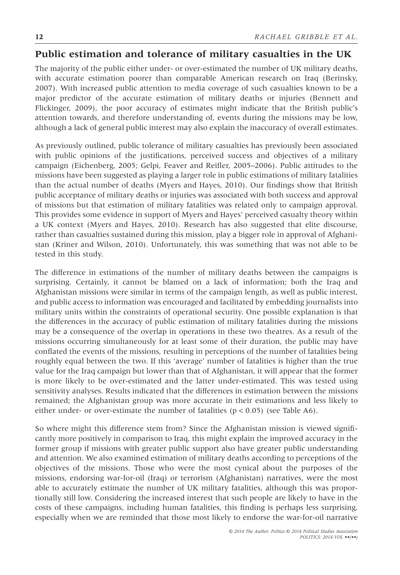# **Public estimation and tolerance of military casualties in the UK**

The majority of the public either under- or over-estimated the number of UK military deaths, with accurate estimation poorer than comparable American research on Iraq (Berinsky, 2007). With increased public attention to media coverage of such casualties known to be a major predictor of the accurate estimation of military deaths or injuries (Bennett and Flickinger, 2009), the poor accuracy of estimates might indicate that the British public's attention towards, and therefore understanding of, events during the missions may be low, although a lack of general public interest may also explain the inaccuracy of overall estimates.

As previously outlined, public tolerance of military casualties has previously been associated with public opinions of the justifications, perceived success and objectives of a military campaign (Eichenberg, 2005; Gelpi, Feaver and Reifler, 2005–2006). Public attitudes to the missions have been suggested as playing a larger role in public estimations of military fatalities than the actual number of deaths (Myers and Hayes, 2010). Our findings show that British public acceptance of military deaths or injuries was associated with both success and approval of missions but that estimation of military fatalities was related only to campaign approval. This provides some evidence in support of Myers and Hayes' perceived casualty theory within a UK context (Myers and Hayes, 2010). Research has also suggested that elite discourse, rather than casualties sustained during this mission, play a bigger role in approval of Afghanistan (Kriner and Wilson, 2010). Unfortunately, this was something that was not able to be tested in this study.

The difference in estimations of the number of military deaths between the campaigns is surprising. Certainly, it cannot be blamed on a lack of information; both the Iraq and Afghanistan missions were similar in terms of the campaign length, as well as public interest, and public access to information was encouraged and facilitated by embedding journalists into military units within the constraints of operational security. One possible explanation is that the differences in the accuracy of public estimation of military fatalities during the missions may be a consequence of the overlap in operations in these two theatres. As a result of the missions occurring simultaneously for at least some of their duration, the public may have conflated the events of the missions, resulting in perceptions of the number of fatalities being roughly equal between the two. If this 'average' number of fatalities is higher than the true value for the Iraq campaign but lower than that of Afghanistan, it will appear that the former is more likely to be over-estimated and the latter under-estimated. This was tested using sensitivity analyses. Results indicated that the differences in estimation between the missions remained; the Afghanistan group was more accurate in their estimations and less likely to either under- or over-estimate the number of fatalities ( $p < 0.05$ ) (see Table A6).

So where might this difference stem from? Since the Afghanistan mission is viewed significantly more positively in comparison to Iraq, this might explain the improved accuracy in the former group if missions with greater public support also have greater public understanding and attention. We also examined estimation of military deaths according to perceptions of the objectives of the missions. Those who were the most cynical about the purposes of the missions, endorsing war-for-oil (Iraq) or terrorism (Afghanistan) narratives, were the most able to accurately estimate the number of UK military fatalities, although this was proportionally still low. Considering the increased interest that such people are likely to have in the costs of these campaigns, including human fatalities, this finding is perhaps less surprising, especially when we are reminded that those most likely to endorse the war-for-oil narrative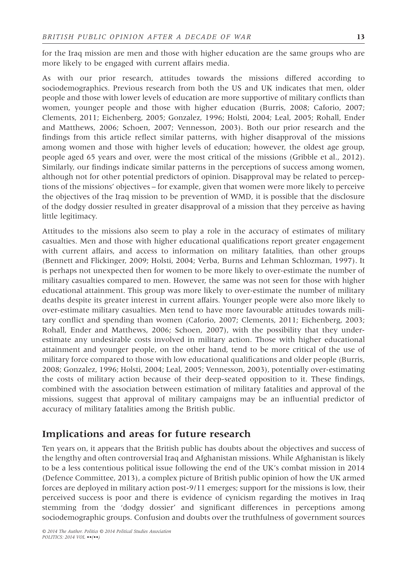for the Iraq mission are men and those with higher education are the same groups who are more likely to be engaged with current affairs media.

As with our prior research, attitudes towards the missions differed according to sociodemographics. Previous research from both the US and UK indicates that men, older people and those with lower levels of education are more supportive of military conflicts than women, younger people and those with higher education (Burris, 2008; Caforio, 2007; Clements, 2011; Eichenberg, 2005; Gonzalez, 1996; Holsti, 2004; Leal, 2005; Rohall, Ender and Matthews, 2006; Schoen, 2007; Vennesson, 2003). Both our prior research and the findings from this article reflect similar patterns, with higher disapproval of the missions among women and those with higher levels of education; however, the oldest age group, people aged 65 years and over, were the most critical of the missions (Gribble et al., 2012). Similarly, our findings indicate similar patterns in the perceptions of success among women, although not for other potential predictors of opinion. Disapproval may be related to perceptions of the missions' objectives – for example, given that women were more likely to perceive the objectives of the Iraq mission to be prevention of WMD, it is possible that the disclosure of the dodgy dossier resulted in greater disapproval of a mission that they perceive as having little legitimacy.

Attitudes to the missions also seem to play a role in the accuracy of estimates of military casualties. Men and those with higher educational qualifications report greater engagement with current affairs, and access to information on military fatalities, than other groups (Bennett and Flickinger, 2009; Holsti, 2004; Verba, Burns and Lehman Schlozman, 1997). It is perhaps not unexpected then for women to be more likely to over-estimate the number of military casualties compared to men. However, the same was not seen for those with higher educational attainment. This group was more likely to over-estimate the number of military deaths despite its greater interest in current affairs. Younger people were also more likely to over-estimate military casualties. Men tend to have more favourable attitudes towards military conflict and spending than women (Caforio, 2007; Clements, 2011; Eichenberg, 2003; Rohall, Ender and Matthews, 2006; Schoen, 2007), with the possibility that they underestimate any undesirable costs involved in military action. Those with higher educational attainment and younger people, on the other hand, tend to be more critical of the use of military force compared to those with low educational qualifications and older people (Burris, 2008; Gonzalez, 1996; Holsti, 2004; Leal, 2005; Vennesson, 2003), potentially over-estimating the costs of military action because of their deep-seated opposition to it. These findings, combined with the association between estimation of military fatalities and approval of the missions, suggest that approval of military campaigns may be an influential predictor of accuracy of military fatalities among the British public.

## **Implications and areas for future research**

Ten years on, it appears that the British public has doubts about the objectives and success of the lengthy and often controversial Iraq and Afghanistan missions. While Afghanistan is likely to be a less contentious political issue following the end of the UK's combat mission in 2014 (Defence Committee, 2013), a complex picture of British public opinion of how the UK armed forces are deployed in military action post-9/11 emerges; support for the missions is low, their perceived success is poor and there is evidence of cynicism regarding the motives in Iraq stemming from the 'dodgy dossier' and significant differences in perceptions among sociodemographic groups. Confusion and doubts over the truthfulness of government sources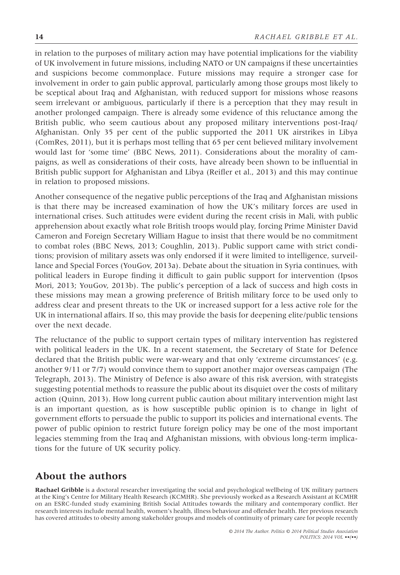in relation to the purposes of military action may have potential implications for the viability of UK involvement in future missions, including NATO or UN campaigns if these uncertainties and suspicions become commonplace. Future missions may require a stronger case for involvement in order to gain public approval, particularly among those groups most likely to be sceptical about Iraq and Afghanistan, with reduced support for missions whose reasons seem irrelevant or ambiguous, particularly if there is a perception that they may result in another prolonged campaign. There is already some evidence of this reluctance among the British public, who seem cautious about any proposed military interventions post-Iraq/ Afghanistan. Only 35 per cent of the public supported the 2011 UK airstrikes in Libya (ComRes, 2011), but it is perhaps most telling that 65 per cent believed military involvement would last for 'some time' (BBC News, 2011). Considerations about the morality of campaigns, as well as considerations of their costs, have already been shown to be influential in British public support for Afghanistan and Libya (Reifler et al., 2013) and this may continue in relation to proposed missions.

Another consequence of the negative public perceptions of the Iraq and Afghanistan missions is that there may be increased examination of how the UK's military forces are used in international crises. Such attitudes were evident during the recent crisis in Mali, with public apprehension about exactly what role British troops would play, forcing Prime Minister David Cameron and Foreign Secretary William Hague to insist that there would be no commitment to combat roles (BBC News, 2013; Coughlin, 2013). Public support came with strict conditions; provision of military assets was only endorsed if it were limited to intelligence, surveillance and Special Forces (YouGov, 2013a). Debate about the situation in Syria continues, with political leaders in Europe finding it difficult to gain public support for intervention (Ipsos Mori, 2013; YouGov, 2013b). The public's perception of a lack of success and high costs in these missions may mean a growing preference of British military force to be used only to address clear and present threats to the UK or increased support for a less active role for the UK in international affairs. If so, this may provide the basis for deepening elite/public tensions over the next decade.

The reluctance of the public to support certain types of military intervention has registered with political leaders in the UK. In a recent statement, the Secretary of State for Defence declared that the British public were war-weary and that only 'extreme circumstances' (e.g. another 9/11 or 7/7) would convince them to support another major overseas campaign (The Telegraph, 2013). The Ministry of Defence is also aware of this risk aversion, with strategists suggesting potential methods to reassure the public about its disquiet over the costs of military action (Quinn, 2013). How long current public caution about military intervention might last is an important question, as is how susceptible public opinion is to change in light of government efforts to persuade the public to support its policies and international events. The power of public opinion to restrict future foreign policy may be one of the most important legacies stemming from the Iraq and Afghanistan missions, with obvious long-term implications for the future of UK security policy.

## **About the authors**

**Rachael Gribble** is a doctoral researcher investigating the social and psychological wellbeing of UK military partners at the King's Centre for Military Health Research (KCMHR). She previously worked as a Research Assistant at KCMHR on an ESRC-funded study examining British Social Attitudes towards the military and contemporary conflict. Her research interests include mental health, women's health, illness behaviour and offender health. Her previous research has covered attitudes to obesity among stakeholder groups and models of continuity of primary care for people recently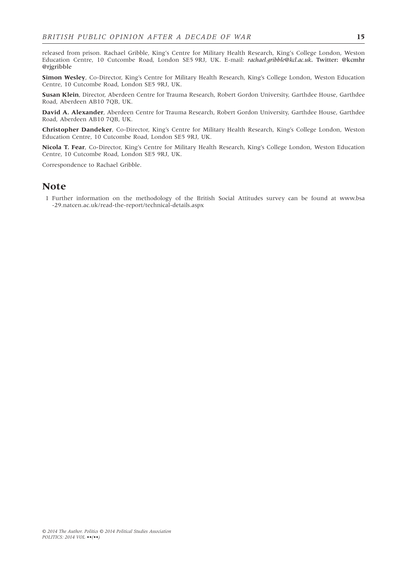released from prison. Rachael Gribble, King's Centre for Military Health Research, King's College London, Weston Education Centre, 10 Cutcombe Road, London SE5 9RJ, UK. E-mail: *rachael.gribble@kcl.ac.uk*. Twitter: @kcmhr @rjgribble

**Simon Wesley**, Co-Director, King's Centre for Military Health Research, King's College London, Weston Education Centre, 10 Cutcombe Road, London SE5 9RJ, UK.

**Susan Klein**, Director, Aberdeen Centre for Trauma Research, Robert Gordon University, Garthdee House, Garthdee Road, Aberdeen AB10 7QB, UK.

**David A. Alexander**, Aberdeen Centre for Trauma Research, Robert Gordon University, Garthdee House, Garthdee Road, Aberdeen AB10 7QB, UK.

**Christopher Dandeker**, Co-Director, King's Centre for Military Health Research, King's College London, Weston Education Centre, 10 Cutcombe Road, London SE5 9RJ, UK.

**Nicola T. Fear**, Co-Director, King's Centre for Military Health Research, King's College London, Weston Education Centre, 10 Cutcombe Road, London SE5 9RJ, UK.

Correspondence to Rachael Gribble.

#### **Note**

1 Further information on the methodology of the British Social Attitudes survey can be found at www.bsa -29.natcen.ac.uk/read-the-report/technical-details.aspx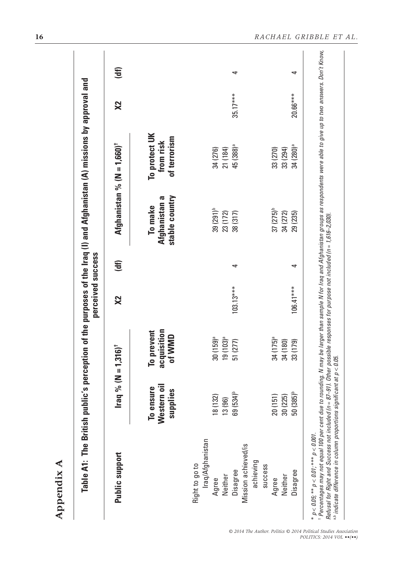| Public support                     |                                     | Iraq % (N = 1,316) <sup>+</sup>     | $\boldsymbol{\chi}$ | ίŧ | Afghanistan % (N = 1,660) <sup>†</sup>     |                                            | $\boldsymbol{\mathsf{z}}$ | 這 |
|------------------------------------|-------------------------------------|-------------------------------------|---------------------|----|--------------------------------------------|--------------------------------------------|---------------------------|---|
|                                    | Western oil<br>o ensure<br>supplies | acquisition<br>To prevent<br>of WWD |                     |    | stable country<br>Afghanistan a<br>To make | To protect UK<br>of terrorism<br>from risk |                           |   |
| Iraq/Afghanistan<br>Right to go to |                                     |                                     |                     |    |                                            |                                            |                           |   |
| Agree                              | 18 (132)                            | $30(159)^a$                         |                     |    | $39(291)^{p}$                              | 34 (276)                                   |                           |   |
| Neither                            | 13(96)                              | $19(103)^a$                         |                     |    | 23 (172)                                   | 21 (184)                                   |                           |   |
| Disagree                           | 69 (534) <sup>b</sup>               | 51 (277)                            | $103.13***$         | 4  | 38 (317)                                   | 45 (388) <sup>a</sup>                      | $35.17***$                | 4 |
| Mission achieved/is<br>achieving   |                                     |                                     |                     |    |                                            |                                            |                           |   |
| success                            |                                     |                                     |                     |    |                                            |                                            |                           |   |
| Agree                              | 20(151)                             | $34(175)^a$                         |                     |    | $37(275)^{b}$                              | 33 (270)                                   |                           |   |
| Neither                            | 30(225)                             | 34 (180)                            |                     |    | 34 (272)                                   | 33 (294)                                   |                           |   |
| Disagree                           | $50(385)^{b}$                       | 33 (179)                            | $106.41***$         | 4  | 29 (235)                                   | $34(280)^a$                                | $20.66***$                | 4 |

**16** *RACHAEL GRIBBLE ET AL.*

**Appendix A**

Appendix A

*© 2014 The Author. Politics © 2014 Political Studies Association POLITICS: 2014 VOL ••(••)*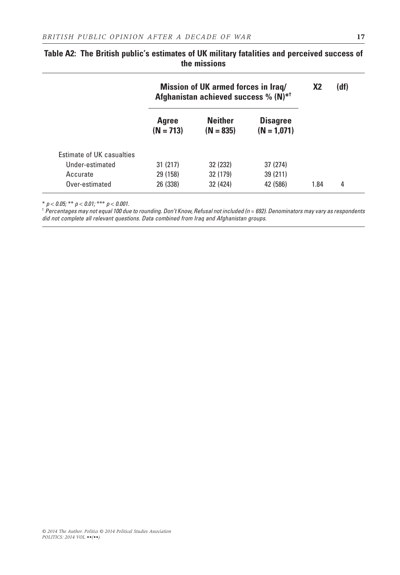|                           |                      | Mission of UK armed forces in Iraq/<br>Afghanistan achieved success % (N)* <sup>†</sup> |                                  | X <sub>2</sub> | (df) |
|---------------------------|----------------------|-----------------------------------------------------------------------------------------|----------------------------------|----------------|------|
|                           | Agree<br>$(N = 713)$ | <b>Neither</b><br>$(N = 835)$                                                           | <b>Disagree</b><br>$(N = 1,071)$ |                |      |
| Estimate of UK casualties |                      |                                                                                         |                                  |                |      |
| Under-estimated           | 31 (217)             | 32 (232)                                                                                | 37 (274)                         |                |      |
| Accurate                  | 29 (158)             | 32 (179)                                                                                | 39 (211)                         |                |      |
| Over-estimated            | 26 (338)             | 32 (424)                                                                                | 42 (586)                         | 1.84           | 4    |

#### **Table A2: The British public's estimates of UK military fatalities and perceived success of the missions**

\* *p* < *0.05;* \*\* *p* < *0.01;* \*\*\* *p* < *0.001.*

† *Percentages may not equal 100 due to rounding. Don't Know, Refusal not included (n* = *692). Denominators may vary as respondents did not complete all relevant questions. Data combined from Iraq and Afghanistan groups.*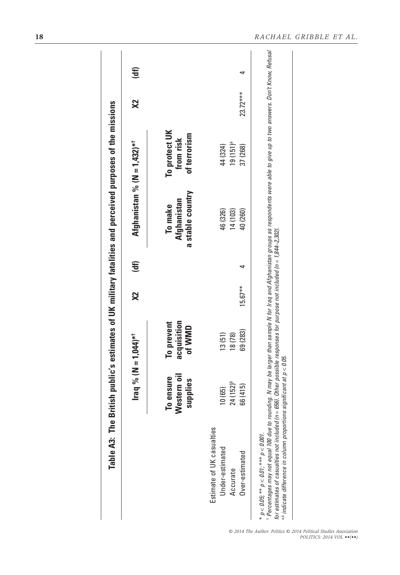|                                              |                                      | Iraq % (N = 1,044)* <sup>+</sup>    | $\boldsymbol{\mathsf{z}}$ | € | Afghanistan % (N = 1,432)* <sup>†</sup>       |                                            | $\boldsymbol{\mathsf{z}}$ | (df) |
|----------------------------------------------|--------------------------------------|-------------------------------------|---------------------------|---|-----------------------------------------------|--------------------------------------------|---------------------------|------|
|                                              | Western oil<br>To ensure<br>supplies | acquisition<br>To prevent<br>of WMD |                           |   | stable country<br>Afghanistan<br>To make<br>æ | To protect UK<br>of terrorism<br>from risk |                           |      |
| Estimate of UK casualties<br>Under-estimated | 10(65)                               | 13(51)                              |                           |   | 46 (326)                                      | 44 (324)                                   |                           |      |
| Accurate                                     | $24(152)^{b}$                        | 18 (78)                             |                           |   | 14 (103)                                      | $19(151)^a$                                |                           |      |
| Over-estimated                               | 66 (415)                             | 69 (283)                            | $15.67**$                 |   | 40 (260)                                      | 37 (268)                                   | $23.72***$                |      |

*© 2014 The Author. Politics © 2014 Political Studies Association POLITICS: 2014 VOL ••(••)*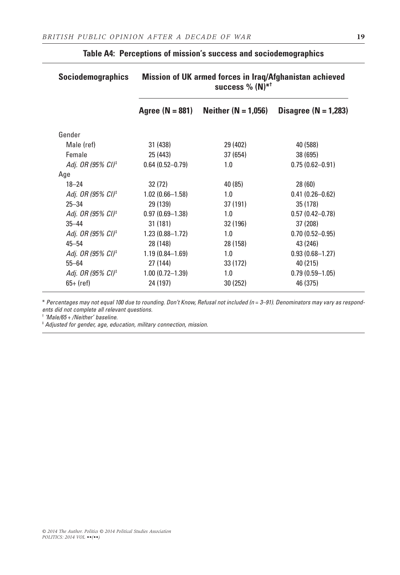| Sociodemographics             | Mission of UK armed forces in Iraq/Afghanistan achieved<br>success $\%$ (N) <sup>*1</sup> |                       |                        |  |  |
|-------------------------------|-------------------------------------------------------------------------------------------|-----------------------|------------------------|--|--|
|                               | Agree ( $N = 881$ )                                                                       | Neither $(N = 1,056)$ | Disagree $(N = 1,283)$ |  |  |
| Gender                        |                                                                                           |                       |                        |  |  |
| Male (ref)                    | 31 (438)                                                                                  | 29 (402)              | 40 (588)               |  |  |
| Female                        | 25 (443)                                                                                  | 37 (654)              | 38 (695)               |  |  |
| Adj. OR (95% CI) <sup>‡</sup> | $0.64(0.52 - 0.79)$                                                                       | 1.0                   | $0.75(0.62 - 0.91)$    |  |  |
| Age                           |                                                                                           |                       |                        |  |  |
| $18 - 24$                     | 32(72)                                                                                    | 40 (85)               | 28(60)                 |  |  |
| Adj. OR (95% CI) <sup>+</sup> | $1.02(0.66 - 1.58)$                                                                       | 1.0                   | $0.41(0.26 - 0.62)$    |  |  |
| $25 - 34$                     | 29 (139)                                                                                  | 37 (191)              | 35(178)                |  |  |
| Adj. OR (95% CI) <sup>‡</sup> | $0.97(0.69 - 1.38)$                                                                       | 1.0                   | $0.57(0.42 - 0.78)$    |  |  |
| $35 - 44$                     | 31(181)                                                                                   | 32 (196)              | 37 (208)               |  |  |
| Adj. OR (95% CI) <sup>+</sup> | $1.23(0.88 - 1.72)$                                                                       | 1.0                   | $0.70(0.52 - 0.95)$    |  |  |
| $45 - 54$                     | 28 (148)                                                                                  | 28 (158)              | 43 (246)               |  |  |
| Adj. OR (95% CI) <sup>+</sup> | $1.19(0.84 - 1.69)$                                                                       | 1.0                   | $0.93(0.68 - 1.27)$    |  |  |
| $55 - 64$                     | 27 (144)                                                                                  | 33 (172)              | 40 (215)               |  |  |
| Adj. OR (95% CI) <sup>+</sup> | $1.00(0.72 - 1.39)$                                                                       | 1.0                   | $0.79(0.59 - 1.05)$    |  |  |
| $65+$ (ref)                   | 24 (197)                                                                                  | 30(252)               | 46 (375)               |  |  |

#### **Table A4: Perceptions of mission's success and sociodemographics**

\* *Percentages may not equal 100 due to rounding. Don't Know, Refusal not included (n* = *3–91). Denominators may vary as respondents did not complete all relevant questions.*

† *'Male/65* + */Neither' baseline.*

‡ *Adjusted for gender, age, education, military connection, mission.*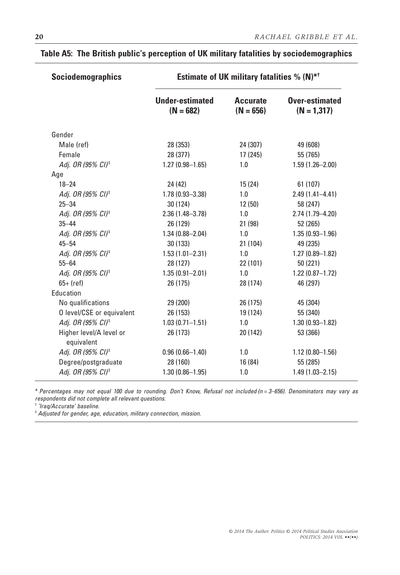| <b>Sociodemographics</b>              | Estimate of UK military fatalities % (N)* <sup>†</sup> |                                |                                         |  |  |
|---------------------------------------|--------------------------------------------------------|--------------------------------|-----------------------------------------|--|--|
|                                       | <b>Under-estimated</b><br>$(N = 682)$                  | <b>Accurate</b><br>$(N = 656)$ | <b>Over-estimated</b><br>$(N = 1, 317)$ |  |  |
| Gender                                |                                                        |                                |                                         |  |  |
| Male (ref)                            | 28 (353)                                               | 24 (307)                       | 49 (608)                                |  |  |
| Female                                | 28 (377)                                               | 17 (245)                       | 55 (765)                                |  |  |
| Adj. OR (95% CI) <sup>t</sup>         | $1.27(0.98 - 1.65)$                                    | 1.0                            | $1.59(1.26 - 2.00)$                     |  |  |
| Age                                   |                                                        |                                |                                         |  |  |
| $18 - 24$                             | 24 (42)                                                | 15(24)                         | 61 (107)                                |  |  |
| Adj. OR (95% CI) <sup>‡</sup>         | $1.78(0.93 - 3.38)$                                    | 1.0                            | $2.49(1.41 - 4.41)$                     |  |  |
| $25 - 34$                             | 30 (124)                                               | 12(50)                         | 58 (247)                                |  |  |
| Adj. OR (95% CI) <sup>‡</sup>         | $2.36(1.48 - 3.78)$                                    | 1.0                            | $2.74(1.79 - 4.20)$                     |  |  |
| $35 - 44$                             | 26 (129)                                               | 21 (98)                        | 52 (265)                                |  |  |
| Adj. OR (95% CI) <sup>+</sup>         | $1.34(0.88 - 2.04)$                                    | 1.0                            | $1.35(0.93 - 1.96)$                     |  |  |
| $45 - 54$                             | 30 (133)                                               | 21 (104)                       | 49 (235)                                |  |  |
| Adj. OR (95% CI) <sup>‡</sup>         | $1.53(1.01 - 2.31)$                                    | 1.0                            | $1.27(0.89 - 1.82)$                     |  |  |
| $55 - 64$                             | 28 (127)                                               | 22(101)                        | 50 (221)                                |  |  |
| Adj. OR (95% CI) <sup>+</sup>         | $1.35(0.91 - 2.01)$                                    | 1.0                            | $1.22(0.87 - 1.72)$                     |  |  |
| $65+$ (ref)                           | 26 (175)                                               | 28 (174)                       | 46 (297)                                |  |  |
| Education                             |                                                        |                                |                                         |  |  |
| No qualifications                     | 29 (200)                                               | 26 (175)                       | 45 (304)                                |  |  |
| O level/CSE or equivalent             | 26 (153)                                               | 19 (124)                       | 55 (340)                                |  |  |
| Adj. OR (95% CI) <sup>+</sup>         | $1.03(0.71 - 1.51)$                                    | 1.0                            | $1.30(0.93 - 1.82)$                     |  |  |
| Higher level/A level or<br>equivalent | 26 (173)                                               | 20 (142)                       | 53 (366)                                |  |  |
| Adj. OR (95% CI) <sup>+</sup>         | $0.96(0.66 - 1.40)$                                    | 1.0                            | $1.12(0.80 - 1.56)$                     |  |  |
| Degree/postgraduate                   | 28 (160)                                               | 16 (84)                        | 55 (285)                                |  |  |
| Adj. OR (95% CI) <sup>+</sup>         | $1.30(0.86 - 1.95)$                                    | 1.0                            | $1.49(1.03 - 2.15)$                     |  |  |

### **Table A5: The British public's perception of UK military fatalities by sociodemographics**

\* *Percentages may not equal 100 due to rounding. Don't Know, Refusal not included (n* = *3–656). Denominators may vary as respondents did not complete all relevant questions.*

† *'Iraq/Accurate' baseline.*

‡ *Adjusted for gender, age, education, military connection, mission.*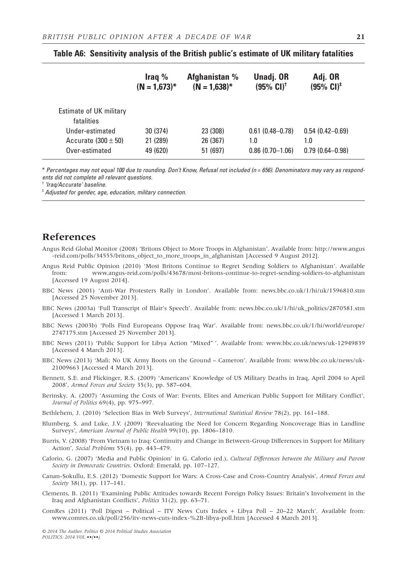|                                                          | Iraq %          | Afghanistan %   | Unadj. OR                     | Adj. OR                        |
|----------------------------------------------------------|-----------------|-----------------|-------------------------------|--------------------------------|
|                                                          | $(N = 1.673)^*$ | $(N = 1.638)^*$ | $(95\% \text{ Cl})^{\dagger}$ | $(95\% \text{ Cl})^{\ddagger}$ |
| Estimate of UK military<br>fatalities<br>Under-estimated | 30 (374)        | 23 (308)        | $0.61(0.48 - 0.78)$           | $0.54(0.42 - 0.69)$            |
| Accurate $(300 \pm 50)$                                  | 21 (289)        | 26 (367)        | 1.0                           | 1.0                            |
| Over-estimated                                           | 49 (620)        | 51 (697)        | $0.86(0.70-1.06)$             | $0.79(0.64 - 0.98)$            |

#### **Table A6: Sensitivity analysis of the British public's estimate of UK military fatalities**

\* *Percentages may not equal 100 due to rounding. Don't Know, Refusal not included (n* = *656). Denominators may vary as respondents did not complete all relevant questions.*

† *'Iraq/Accurate' baseline.*

‡ *Adjusted for gender, age, education, military connection.*

## **References**

Angus Reid Global Monitor (2008) 'Britons Object to More Troops in Afghanistan'. Available from: http://www.angus -reid.com/polls/34555/britons\_object\_to\_more\_troops\_in\_afghanistan [Accessed 9 August 2012].

- Angus Reid Public Opinion (2010) 'Most Britons Continue to Regret Sending Soldiers to Afghanistan'. Available from: www.angus-reid.com/polls/43678/most-britons-continue-to-regret-sending-soldiers-to-afghanistan [Accessed 19 August 2014].
- BBC News (2001) 'Anti-War Protesters Rally in London'. Available from: news.bbc.co.uk/1/hi/uk/1596810.stm [Accessed 25 November 2013].
- BBC News (2003a) 'Full Transcript of Blair's Speech'. Available from: news.bbc.co.uk/1/hi/uk\_politics/2870581.stm [Accessed 1 March 2013].
- BBC News (2003b) 'Polls Find Europeans Oppose Iraq War'. Available from: news.bbc.co.uk/1/hi/world/europe/ 2747175.stm [Accessed 25 November 2013].
- BBC News (2011) 'Public Support for Libya Action "Mixed" '. Available from: www.bbc.co.uk/news/uk-12949839 [Accessed 4 March 2013].
- BBC News (2013) 'Mali: No UK Army Boots on the Ground Cameron'. Available from: www.bbc.co.uk/news/uk-21009663 [Accessed 4 March 2013].
- Bennett, S.E. and Flickinger, R.S. (2009) 'Americans' Knowledge of US Military Deaths in Iraq, April 2004 to April 2008', *Armed Forces and Society* 35(3), pp. 587–604.
- Berinsky, A. (2007) 'Assuming the Costs of War: Events, Elites and American Public Support for Military Conflict', *Journal of Politics* 69(4), pp. 975–997.
- Bethlehem, J. (2010) 'Selection Bias in Web Surveys', *International Statistical Review* 78(2), pp. 161–188.
- Blumberg, S. and Luke, J.V. (2009) 'Reevaluating the Need for Concern Regarding Noncoverage Bias in Landline Surveys', *American Journal of Public Health* 99(10), pp. 1806–1810.
- Burris, V. (2008) 'From Vietnam to Iraq: Continuity and Change in Between-Group Differences in Support for Military Action', *Social Problems* 55(4), pp. 443–479.
- Caforio, G. (2007) 'Media and Public Opinion' in G. Caforio (ed.), *Cultural Differences between the Military and Parent Society in Democratic Countries*. Oxford: Emerald, pp. 107–127.
- Canan-Sokullu, E.S. (2012) 'Domestic Support for Wars: A Cross-Case and Cross-Country Analysis', *Armed Forces and Society* 38(1), pp. 117–141.
- Clements, B. (2011) 'Examining Public Attitudes towards Recent Foreign Policy Issues: Britain's Involvement in the Iraq and Afghanistan Conflicts', *Politics* 31(2), pp. 63–71.
- ComRes (2011) 'Poll Digest Political ITV News Cuts Index + Libya Poll 20–22 March'. Available from: www.comres.co.uk/poll/256/itv-news-cuts-index-%2B-libya-poll.htm [Accessed 4 March 2013].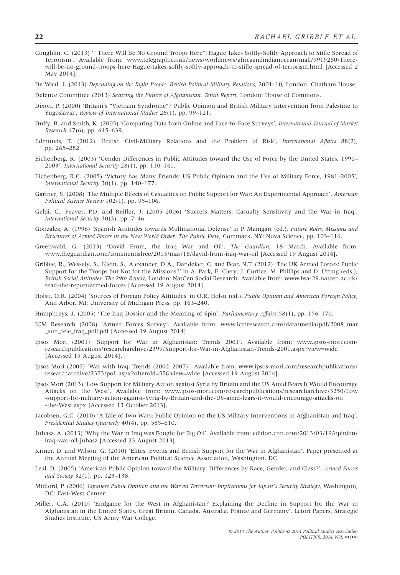- Coughlin, C. (2013) ' "There Will Be No Ground Troops Here": Hague Takes Softly-Softly Approach to Stifle Spread of Terrorism'. Available from: www.telegraph.co.uk/news/worldnews/africaandindianocean/mali/9919280/Therewill-be-no-ground-troops-here-Hague-takes-softly-softly-approach-to-stifle-spread-of-terrorism.html [Accessed 2 May 2014].
- De Waal, J. (2013) *Depending on the Right People: British Political-Military Relations,* 2001–10, London: Chatham House.
- Defence Committee (2013) *Securing the Future of Afghanistan: Tenth Report*, London: House of Commons.
- Dixon, P. (2000) 'Britain's "Vietnam Syndrome"? Public Opinion and British Military Intervention from Palestine to Yugoslavia', *Review of International Studies* 26(1), pp. 99–121.
- Duffy, B. and Smith, K. (2005) 'Comparing Data from Online and Face-to-Face Surveys', *International Journal of Market Research* 47(6), pp. 615–639.
- Edmunds, T. (2012) 'British Civil-Military Relations and the Problem of Risk', *International Affairs* 88(2), pp. 265–282.
- Eichenberg, R. (2003) 'Gender Differences in Public Attitudes toward the Use of Force by the United States, 1990– 2003', *International Security* 28(1), pp. 110–141.
- Eichenberg, R.C. (2005) 'Victory has Many Friends: US Public Opinion and the Use of Military Force, 1981–2005', *International Security* 30(1), pp. 140–177.
- Gartner, S. (2008) 'The Multiple Effects of Casualties on Public Support for War: An Experimental Approach', *American Political Science Review* 102(1), pp. 95–106.
- Gelpi, C., Feaver, P.D. and Reifler, J. (2005–2006) 'Success Matters: Casualty Sensitivity and the War in Iraq', *International Security* 30(3), pp. 7–46.
- Gonzalez, A. (1996) 'Spanish Attitudes towards Multinational Defense' in P. Manigart (ed.), *Future Roles, Missions and Structures of Armed Forces in the New World Order: The Public View*, Commack, NY: Nova Science, pp. 103–116.
- Greenwald, G. (2013) 'David Frum, the Iraq War and Oil', *The Guardian*, 18 March. Available from: www.theguardian.com/commentisfree/2013/mar/18/david-frum-iraq-war-oil [Accessed 19 August 2014].
- Gribble, R., Wessely, S., Klein, S., Alexander, D.A., Dandeker, C. and Fear, N.T. (2012) 'The UK Armed Forces: Public Support for the Troops but Not for the Missions?' in A. Park, E. Clery, J. Curtice, M. Phillips and D. Utting (eds.), *British Social Attitudes: The 29th Report*, London: NatCen Social Research. Available from: www.bsa-29.natcen.ac.uk/ read-the-report/armed-forces [Accessed 19 August 2014].
- Holsti, O.R. (2004) 'Sources of Foreign Policy Attitudes' in O.R. Holsti (ed.), *Public Opinion and American Foreign Policy*, Ann Arbor, MI: University of Michigan Press, pp. 163–240.
- Humphreys, J. (2005) 'The Iraq Dossier and the Meaning of Spin', *Parliamentary Affairs* 58(1), pp. 156–170.
- ICM Research (2008) 'Armed Forces Survey'. Available from: www.icmresearch.com/data/media/pdf/2008\_mar \_sun\_tele\_iraq\_poll.pdf [Accessed 19 August 2014].
- Ipsos Mori (2001) 'Support for War in Afghanistan: Trends 2001'. Available from: www.ipsos-mori.com/ researchpublications/researcharchive/2399/Support-for-War-in-Afghanistan-Trends-2001.aspx?view=wide [Accessed 19 August 2014].
- Ipsos Mori (2007) 'War with Iraq: Trends (2002–2007)'. Available from: www.ipsos-mori.com/researchpublications/ researcharchive/2373/poll.aspx?oItemId=55&view=wide [Accessed 19 August 2014].
- Ipsos Mori (2013) 'Low Support for Military Action against Syria by Britain and the US Amid Fears It Would Encourage Attacks on the West'. Available from: www.ipsos-mori.com/researchpublications/researcharchive/3250/Low -support-for-military-action-against-Syria-by-Britain-and-the-US-amid-fears-it-would-encourage-attacks-on -the-West.aspx [Accessed 13 October 2013].
- Jacobsen, G.C. (2010) 'A Tale of Two Wars: Public Opinion on the US Military Interventions in Afghanistan and Iraq', *Presidential Studies Quarterly* 40(4), pp. 585–610.
- Juhasz, A. (2013) 'Why the War in Iraq was Fought for Big Oil'. Available from: edition.cnn.com/2013/03/19/opinion/ iraq-war-oil-juhasz [Accessed 23 August 2013].
- Kriner, D. and Wilson, G. (2010) 'Elites, Events and British Support for the War in Afghanistan', Paper presented at the Annual Meeting of the American Political Science Association, Washington, DC.
- Leal, D. (2005) 'American Public Opinion toward the Military: Differences by Race, Gender, and Class?', *Armed Forces and Society* 32(1), pp. 123–138.
- Midford, P. (2006) *Japanese Public Opinion and the War on Terrorism: Implications for Japan's Security Strategy*, Washington, DC: East-West Center.
- Miller, C.A. (2010) 'Endgame for the West in Afghanistan? Explaining the Decline in Support for the War in Afghanistan in the United States, Great Britain, Canada, Australia, France and Germany', Letort Papers, Strategic Studies Institute, US Army War College.